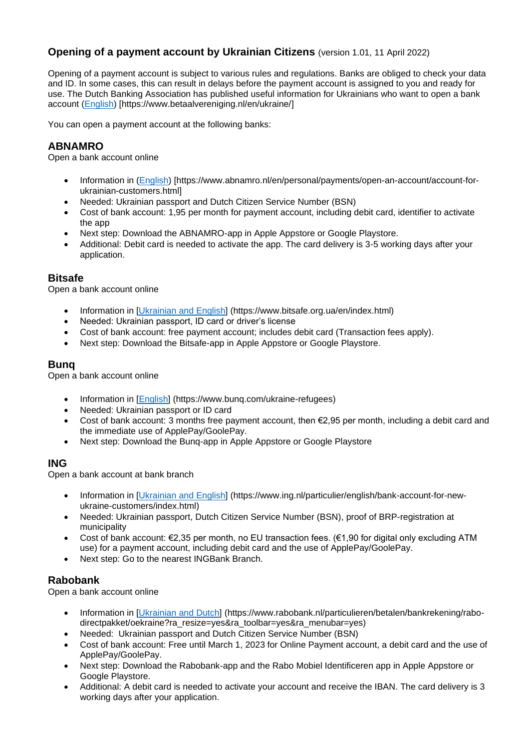# **Opening of a payment account by Ukrainian Citizens** (version 1.01, 11 April 2022)

Opening of a payment account is subject to various rules and regulations. Banks are obliged to check your data and ID. In some cases, this can result in delays before the payment account is assigned to you and ready for use. The Dutch Banking Association has published useful information for Ukrainians who want to open a bank account [\(English\)](https://www.betaalvereniging.nl/en/ukraine/) [https://www.betaalvereniging.nl/en/ukraine/]

You can open a payment account at the following banks:

### **ABNAMRO**

Open a bank account online

- Information in [\(English\)](https://www.abnamro.nl/en/personal/payments/open-an-account/account-for-ukrainian-customers.html) [https://www.abnamro.nl/en/personal/payments/open-an-account/account-forukrainian-customers.html]
- Needed: Ukrainian passport and Dutch Citizen Service Number (BSN)
- Cost of bank account: 1,95 per month for payment account, including debit card, identifier to activate the app
- Next step: Download the ABNAMRO-app in Apple Appstore or Google Playstore.
- Additional: Debit card is needed to activate the app. The card delivery is 3-5 working days after your application.

### **Bitsafe**

Open a bank account online

- Information in [Ukrainian [and English\]](https://www.bitsafe.org.ua/en/index.html) (https://www.bitsafe.org.ua/en/index.html)
- Needed: Ukrainian passport, ID card or driver's license
- Cost of bank account: free payment account; includes debit card (Transaction fees apply).
- Next step: Download the Bitsafe-app in Apple Appstore or Google Playstore.

# **Bunq**

Open a bank account online

- Information in [\[English\]](https://www.bunq.com/ukraine-refugees) (https://www.bunq.com/ukraine-refugees)
- Needed: Ukrainian passport or ID card
- Cost of bank account: 3 months free payment account, then  $\epsilon$ 2,95 per month, including a debit card and the immediate use of ApplePay/GoolePay.
- Next step: Download the Bunq-app in Apple Appstore or Google Playstore

### **ING**

Open a bank account at bank branch

- Information in [\[Ukrainian and English\]](https://www.ing.nl/particulier/english/bank-account-for-new-ukraine-customers/index.html%5d) (https://www.ing.nl/particulier/english/bank-account-for-newukraine-customers/index.html)
- Needed: Ukrainian passport, Dutch Citizen Service Number (BSN), proof of BRP-registration at municipality
- Cost of bank account: €2,35 per month, no EU transaction fees. (€1,90 for digital only excluding ATM use) for a payment account, including debit card and the use of ApplePay/GoolePay.
- Next step: [Go](https://www.ing.nl/zakelijk/klantenservice/service-en-dienstverlening/geldautomaat-of-kantoor-zoeken/index.html) to the nearest INGBank Branch.

### **Rabobank**

Open a bank account online

- Information in [\[Ukrainian and Dutch\]](https://www.rabobank.nl/particulieren/betalen/bankrekening/rabo-directpakket/oekraine?ra_resize=yes&ra_toolbar=yes&ra_menubar=yes) (https://www.rabobank.nl/particulieren/betalen/bankrekening/rabodirectpakket/oekraine?ra\_resize=yes&ra\_toolbar=yes&ra\_menubar=yes)
- Needed: Ukrainian passport and Dutch Citizen Service Number (BSN)
- Cost of bank account: Free until March 1, 2023 for Online Payment account, a debit card and the use of ApplePay/GoolePay.
- Next step: Download the Rabobank-app and the Rabo Mobiel Identificeren app in Apple Appstore or Google Playstore.
- Additional: A debit card is needed to activate your account and receive the IBAN. The card delivery is 3 working days after your application.